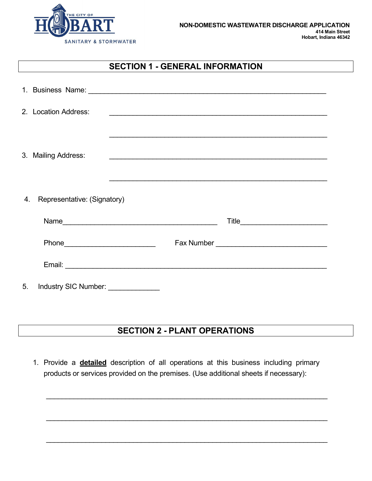

| <b>SECTION 1 - GENERAL INFORMATION</b>   |                                                                                                                      |
|------------------------------------------|----------------------------------------------------------------------------------------------------------------------|
|                                          |                                                                                                                      |
| 2. Location Address:                     |                                                                                                                      |
| 3. Mailing Address:                      | <u> 1989 - Johann John Harry Harry Harry Harry Harry Harry Harry Harry Harry Harry Harry Harry Harry Harry Harry</u> |
| Representative: (Signatory)<br>4.        |                                                                                                                      |
|                                          |                                                                                                                      |
|                                          |                                                                                                                      |
|                                          |                                                                                                                      |
| 5.<br>Industry SIC Number: _____________ |                                                                                                                      |

# **SECTION 2 - PLANT OPERATIONS**

\_\_\_\_\_\_\_\_\_\_\_\_\_\_\_\_\_\_\_\_\_\_\_\_\_\_\_\_\_\_\_\_\_\_\_\_\_\_\_\_\_\_\_\_\_\_\_\_\_\_\_\_\_\_\_\_\_\_\_\_\_\_\_\_\_\_\_\_\_\_\_

\_\_\_\_\_\_\_\_\_\_\_\_\_\_\_\_\_\_\_\_\_\_\_\_\_\_\_\_\_\_\_\_\_\_\_\_\_\_\_\_\_\_\_\_\_\_\_\_\_\_\_\_\_\_\_\_\_\_\_\_\_\_\_\_\_\_\_\_\_\_\_

\_\_\_\_\_\_\_\_\_\_\_\_\_\_\_\_\_\_\_\_\_\_\_\_\_\_\_\_\_\_\_\_\_\_\_\_\_\_\_\_\_\_\_\_\_\_\_\_\_\_\_\_\_\_\_\_\_\_\_\_\_\_\_\_\_\_\_\_\_\_\_

1. Provide a **detailed** description of all operations at this business including primary products or services provided on the premises. (Use additional sheets if necessary):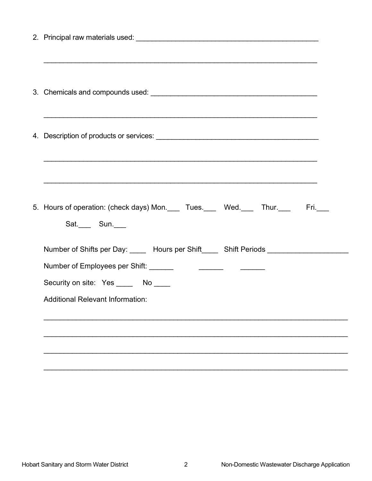| 5. Hours of operation: (check days) Mon. Tues. Wed. Thur. Fri.<br>Sat. Sun.                                                                                   |
|---------------------------------------------------------------------------------------------------------------------------------------------------------------|
| Number of Shifts per Day: _____ Hours per Shift_____ Shift Periods ______________                                                                             |
| Number of Employees per Shift: ______<br><u> 1989 - Jan Samuel Barbara, primeira establecidade a la propia de la propia de la propia de la propia de la p</u> |
| Security on site: Yes _____ No ____                                                                                                                           |
| <b>Additional Relevant Information:</b>                                                                                                                       |
|                                                                                                                                                               |
|                                                                                                                                                               |
|                                                                                                                                                               |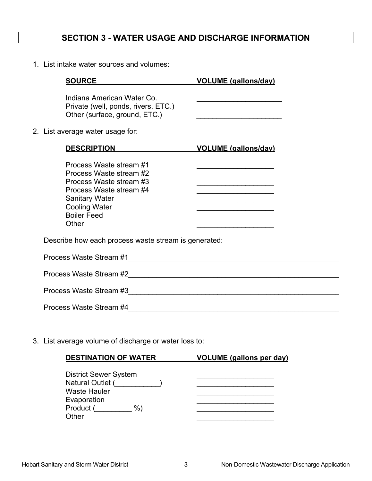## **SECTION 3 - WATER USAGE AND DISCHARGE INFORMATION**

1. List intake water sources and volumes:

| <b>SOURCE</b>                                                                                                                                                                            | <b>VOLUME (gallons/day)</b>                                                                                                                                                                                                                           |  |
|------------------------------------------------------------------------------------------------------------------------------------------------------------------------------------------|-------------------------------------------------------------------------------------------------------------------------------------------------------------------------------------------------------------------------------------------------------|--|
| Indiana American Water Co.<br>Private (well, ponds, rivers, ETC.)<br>Other (surface, ground, ETC.)<br>2. List average water usage for:                                                   | the control of the control of the control of the control of the control of the control of                                                                                                                                                             |  |
| <b>DESCRIPTION</b>                                                                                                                                                                       | <b>VOLUME (gallons/day)</b>                                                                                                                                                                                                                           |  |
| Process Waste stream #1<br>Process Waste stream #2<br>Process Waste stream #3<br>Process Waste stream #4<br><b>Sanitary Water</b><br><b>Cooling Water</b><br><b>Boiler Feed</b><br>Other | <u> 1980 - Johann John Stone, mars eta bainar eta industrial eta industrial eta industrial eta industrial eta in</u><br>the control of the control of the control of the control of the control of<br><u> 1980 - Johann John Stone, mars et al. (</u> |  |
| Describe how each process waste stream is generated:                                                                                                                                     |                                                                                                                                                                                                                                                       |  |
|                                                                                                                                                                                          |                                                                                                                                                                                                                                                       |  |
|                                                                                                                                                                                          |                                                                                                                                                                                                                                                       |  |
|                                                                                                                                                                                          |                                                                                                                                                                                                                                                       |  |
|                                                                                                                                                                                          |                                                                                                                                                                                                                                                       |  |
|                                                                                                                                                                                          |                                                                                                                                                                                                                                                       |  |

3. List average volume of discharge or water loss to:

| <b>VOLUME</b> (gallons per day) |
|---------------------------------|
|                                 |
|                                 |
|                                 |
|                                 |
|                                 |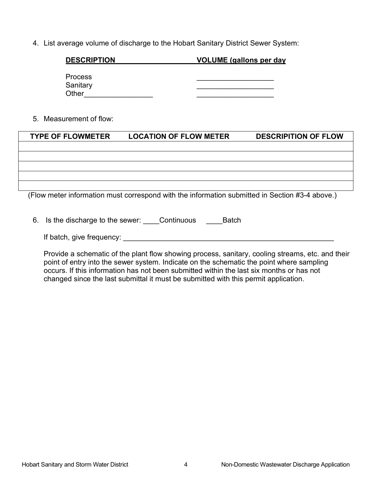4. List average volume of discharge to the Hobart Sanitary District Sewer System:

| <b>DESCRIPTION</b> | <b>VOLUME</b> (gallons per day |
|--------------------|--------------------------------|
|                    |                                |
| <b>Process</b>     |                                |
| Sanitary           |                                |
| Other              |                                |

5. Measurement of flow:

| <b>TYPE OF FLOWMETER</b> | <b>LOCATION OF FLOW METER</b>                                                                  | <b>DESCRIPITION OF FLOW</b> |
|--------------------------|------------------------------------------------------------------------------------------------|-----------------------------|
|                          |                                                                                                |                             |
|                          |                                                                                                |                             |
|                          |                                                                                                |                             |
|                          |                                                                                                |                             |
|                          |                                                                                                |                             |
|                          | (Flow meter information must correspond with the information submitted in Section #3-4 above.) |                             |

- 
- 6. Is the discharge to the sewer: \_\_\_\_Continuous \_\_\_\_Batch
	- If batch, give frequency: \_\_\_\_\_\_\_\_\_\_\_\_\_\_\_\_\_\_\_\_\_\_\_\_\_\_\_\_\_\_\_\_\_\_\_\_\_\_\_\_\_\_\_\_\_\_\_\_\_\_\_\_

Provide a schematic of the plant flow showing process, sanitary, cooling streams, etc. and their point of entry into the sewer system. Indicate on the schematic the point where sampling occurs. If this information has not been submitted within the last six months or has not changed since the last submittal it must be submitted with this permit application.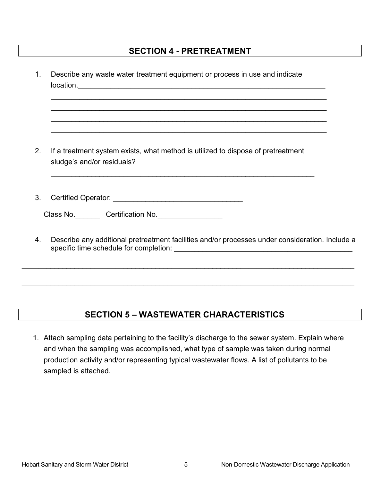## **SECTION 4 - PRETREATMENT**

| 1. | Describe any waste water treatment equipment or process in use and indicate                                    |
|----|----------------------------------------------------------------------------------------------------------------|
|    |                                                                                                                |
| 2. | If a treatment system exists, what method is utilized to dispose of pretreatment<br>sludge's and/or residuals? |
| 3. |                                                                                                                |
|    | Class No. Certification No.                                                                                    |
| 4. | Describe any additional pretreatment facilities and/or processes under consideration. Include a                |
|    |                                                                                                                |

# **SECTION 5 – WASTEWATER CHARACTERISTICS**

\_\_\_\_\_\_\_\_\_\_\_\_\_\_\_\_\_\_\_\_\_\_\_\_\_\_\_\_\_\_\_\_\_\_\_\_\_\_\_\_\_\_\_\_\_\_\_\_\_\_\_\_\_\_\_\_\_\_\_\_\_\_\_\_\_\_\_\_\_\_\_\_\_\_\_\_\_\_\_\_\_\_

1. Attach sampling data pertaining to the facility's discharge to the sewer system. Explain where and when the sampling was accomplished, what type of sample was taken during normal production activity and/or representing typical wastewater flows. A list of pollutants to be sampled is attached.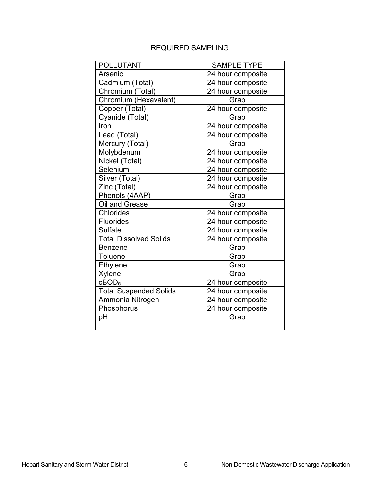#### REQUIRED SAMPLING

| <b>POLLUTANT</b>              | <b>SAMPLE TYPE</b> |
|-------------------------------|--------------------|
| Arsenic                       | 24 hour composite  |
| Cadmium (Total)               | 24 hour composite  |
| Chromium (Total)              | 24 hour composite  |
| Chromium (Hexavalent)         | Grab               |
| Copper (Total)                | 24 hour composite  |
| Cyanide (Total)               | Grab               |
| Iron                          | 24 hour composite  |
| Lead (Total)                  | 24 hour composite  |
| Mercury (Total)               | Grab               |
| Molybdenum                    | 24 hour composite  |
| Nickel (Total)                | 24 hour composite  |
| Selenium                      | 24 hour composite  |
| Silver (Total)                | 24 hour composite  |
| Zinc (Total)                  | 24 hour composite  |
| Phenols (4AAP)                | Grab               |
| Oil and Grease                | Grab               |
| Chlorides                     | 24 hour composite  |
| <b>Fluorides</b>              | 24 hour composite  |
| <b>Sulfate</b>                | 24 hour composite  |
| <b>Total Dissolved Solids</b> | 24 hour composite  |
| <b>Benzene</b>                | Grab               |
| <b>Toluene</b>                | Grab               |
| Ethylene                      | Grab               |
| Xylene                        | Grab               |
| cBOD <sub>5</sub>             | 24 hour composite  |
| <b>Total Suspended Solids</b> | 24 hour composite  |
| Ammonia Nitrogen              | 24 hour composite  |
| Phosphorus                    | 24 hour composite  |
| рH                            | Grab               |
|                               |                    |